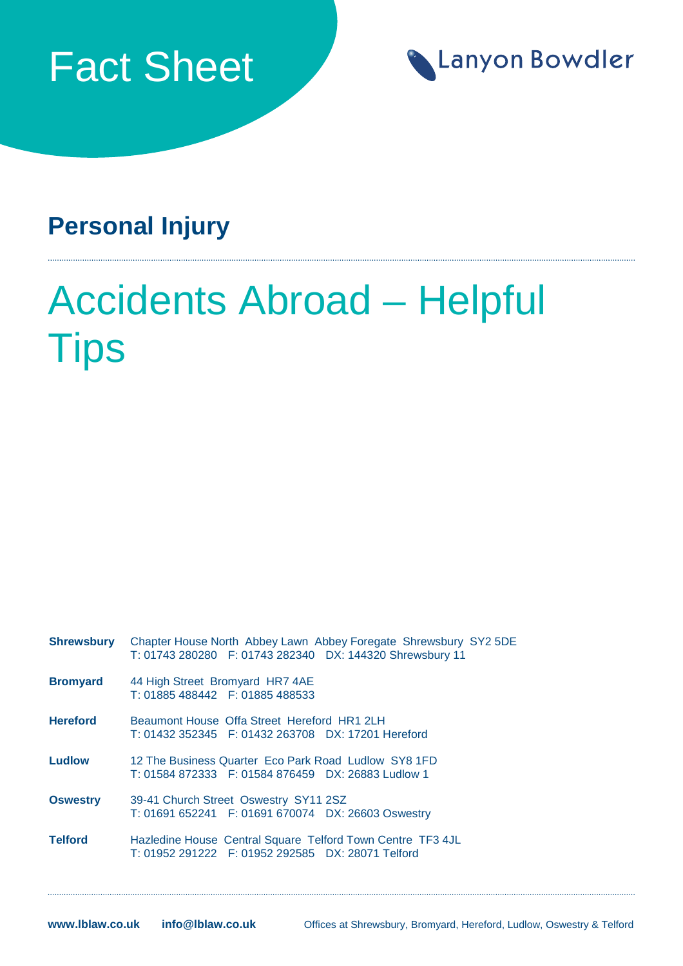



## **Personal Injury**

## Accidents Abroad – Helpful **Tips**

| <b>Shrewsbury</b> | Chapter House North Abbey Lawn Abbey Foregate Shrewsbury SY2 5DE<br>T: 01743 280280 F: 01743 282340 DX: 144320 Shrewsbury 11 |
|-------------------|------------------------------------------------------------------------------------------------------------------------------|
| <b>Bromyard</b>   | 44 High Street Bromyard HR7 4AE<br>T: 01885 488442   F: 01885 488533                                                         |
| <b>Hereford</b>   | Beaumont House Offa Street Hereford HR1 2LH                                                                                  |
|                   | T: 01432 352345 F: 01432 263708 DX: 17201 Hereford                                                                           |
| <b>Ludlow</b>     | 12 The Business Quarter Eco Park Road Ludlow SY8 1FD                                                                         |
|                   | T: 01584 872333 F: 01584 876459 DX: 26883 Ludlow 1                                                                           |
| <b>Oswestry</b>   | 39-41 Church Street Oswestry SY11 2SZ                                                                                        |
|                   | T: 01691 652241 F: 01691 670074 DX: 26603 Oswestry                                                                           |
| <b>Telford</b>    | Hazledine House Central Square Telford Town Centre TF3 4JL                                                                   |
|                   | T: 01952 291222 F: 01952 292585 DX: 28071 Telford                                                                            |
|                   |                                                                                                                              |